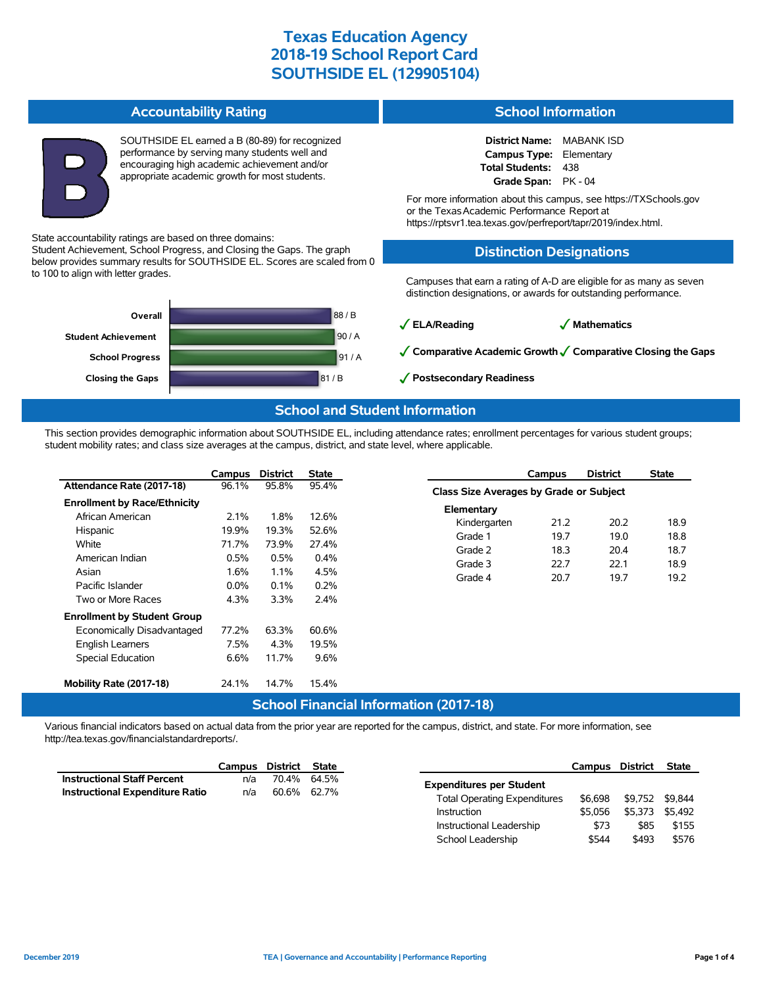**School Information**

School Leadership  $$544$  \$493 \$576

**Accountability Rating**

**Closing the Gaps** 81 / B

**School Progress**

|                                                                                                                  |         | performance by serving many students well and<br>encouraging high academic achievement and/or<br>appropriate academic growth for most students. | SOUTHSIDE EL earned a B (80-89) for recognized                        |                                                                                                                                          | <b>District Name:</b><br>MABANK ISD<br>Campus Type: Elementary<br>Total Students:<br>438<br>Grade Span: PK - 04<br>For more information about this campus, see https://TXSchools.gov<br>or the Texas Academic Performance Report at<br>https://rptsvr1.tea.texas.gov/perfreport/tapr/2019/index.html.<br><b>Distinction Designations</b> |                                                              |  |  |  |
|------------------------------------------------------------------------------------------------------------------|---------|-------------------------------------------------------------------------------------------------------------------------------------------------|-----------------------------------------------------------------------|------------------------------------------------------------------------------------------------------------------------------------------|------------------------------------------------------------------------------------------------------------------------------------------------------------------------------------------------------------------------------------------------------------------------------------------------------------------------------------------|--------------------------------------------------------------|--|--|--|
|                                                                                                                  |         |                                                                                                                                                 |                                                                       |                                                                                                                                          |                                                                                                                                                                                                                                                                                                                                          |                                                              |  |  |  |
| State accountability ratings are based on three domains:                                                         |         |                                                                                                                                                 |                                                                       |                                                                                                                                          |                                                                                                                                                                                                                                                                                                                                          |                                                              |  |  |  |
|                                                                                                                  |         |                                                                                                                                                 | Student Achievement, School Progress, and Closing the Gaps. The graph |                                                                                                                                          |                                                                                                                                                                                                                                                                                                                                          |                                                              |  |  |  |
| below provides summary results for SOUTHSIDE EL. Scores are scaled from 0<br>to 100 to align with letter grades. |         |                                                                                                                                                 |                                                                       | Campuses that earn a rating of A-D are eligible for as many as seven<br>distinction designations, or awards for outstanding performance. |                                                                                                                                                                                                                                                                                                                                          |                                                              |  |  |  |
|                                                                                                                  | Overall |                                                                                                                                                 |                                                                       | 88 / B                                                                                                                                   |                                                                                                                                                                                                                                                                                                                                          |                                                              |  |  |  |
|                                                                                                                  |         |                                                                                                                                                 |                                                                       |                                                                                                                                          | $\sqrt{\mathsf{ELA/Reading}}$                                                                                                                                                                                                                                                                                                            | √ Mathematics                                                |  |  |  |
| <b>Student Achievement</b>                                                                                       |         |                                                                                                                                                 |                                                                       | 90/A                                                                                                                                     |                                                                                                                                                                                                                                                                                                                                          |                                                              |  |  |  |
|                                                                                                                  |         |                                                                                                                                                 |                                                                       | $\sim$ $\sim$ $\sim$                                                                                                                     |                                                                                                                                                                                                                                                                                                                                          | √ Comparative Academic Growth √ Comparative Closing the Gaps |  |  |  |

#### **School and Student Information**

✓**Postsecondary Readiness**

This section provides demographic information about SOUTHSIDE EL, including attendance rates; enrollment percentages for various student groups; student mobility rates; and class size averages at the campus, district, and state level, where applicable.

91 / A

|                                     | Campus  | <b>District</b> | <b>State</b> |                                         | Campus | <b>District</b> | <b>State</b> |
|-------------------------------------|---------|-----------------|--------------|-----------------------------------------|--------|-----------------|--------------|
| Attendance Rate (2017-18)           | 96.1%   | 95.8%           | 95.4%        | Class Size Averages by Grade or Subject |        |                 |              |
| <b>Enrollment by Race/Ethnicity</b> |         |                 |              | Elementary                              |        |                 |              |
| African American                    | $2.1\%$ | 1.8%            | 12.6%        | Kindergarten                            | 21.2   | 20.2            | 18.9         |
| Hispanic                            | 19.9%   | 19.3%           | 52.6%        |                                         |        |                 |              |
| White                               | 71.7%   | 73.9%           | 27.4%        | Grade 1                                 | 19.7   | 19.0            | 18.8         |
| American Indian                     | 0.5%    | 0.5%            | 0.4%         | Grade 2                                 | 18.3   | 20.4            | 18.7         |
| Asian                               | 1.6%    | 1.1%            | 4.5%         | Grade 3                                 | 22.7   | 22.1            | 18.9         |
| Pacific Islander                    | $0.0\%$ | 0.1%            | 0.2%         | Grade 4                                 | 20.7   | 19.7            | 19.2         |
| Two or More Races                   | 4.3%    | 3.3%            | 2.4%         |                                         |        |                 |              |
| <b>Enrollment by Student Group</b>  |         |                 |              |                                         |        |                 |              |
| Economically Disadvantaged          | 77.2%   | 63.3%           | 60.6%        |                                         |        |                 |              |
| <b>English Learners</b>             | 7.5%    | 4.3%            | 19.5%        |                                         |        |                 |              |
| Special Education                   | 6.6%    | 11.7%           | 9.6%         |                                         |        |                 |              |
| Mobility Rate (2017-18)             | 24.1%   | 14.7%           | 15.4%        |                                         |        |                 |              |
|                                     |         |                 | $\cdots$     | .<br>$\sim$<br>$\sqrt{2}$               |        |                 |              |

# **School Financial Information (2017-18)**

Various financial indicators based on actual data from the prior year are reported for the campus, district, and state. For more information, see http://tea.texas.gov/financialstandardreports/.

|                                        | Campus                              | District       | State   |                                 | Campus  | District | <b>State</b> |
|----------------------------------------|-------------------------------------|----------------|---------|---------------------------------|---------|----------|--------------|
| <b>Instructional Staff Percent</b>     | n/a                                 | 70.4%          | 64.5%   | <b>Expenditures per Student</b> |         |          |              |
| <b>Instructional Expenditure Ratio</b> | n/a                                 | 60.6%<br>62.7% |         |                                 |         |          |              |
|                                        | <b>Total Operating Expenditures</b> |                | \$6.698 | \$9.752 \$9.844                 |         |          |              |
|                                        |                                     |                |         | Instruction                     | \$5.056 | \$5.373  | \$5.492      |
|                                        |                                     |                |         | Instructional Leadership        | \$73    | \$85     | \$155        |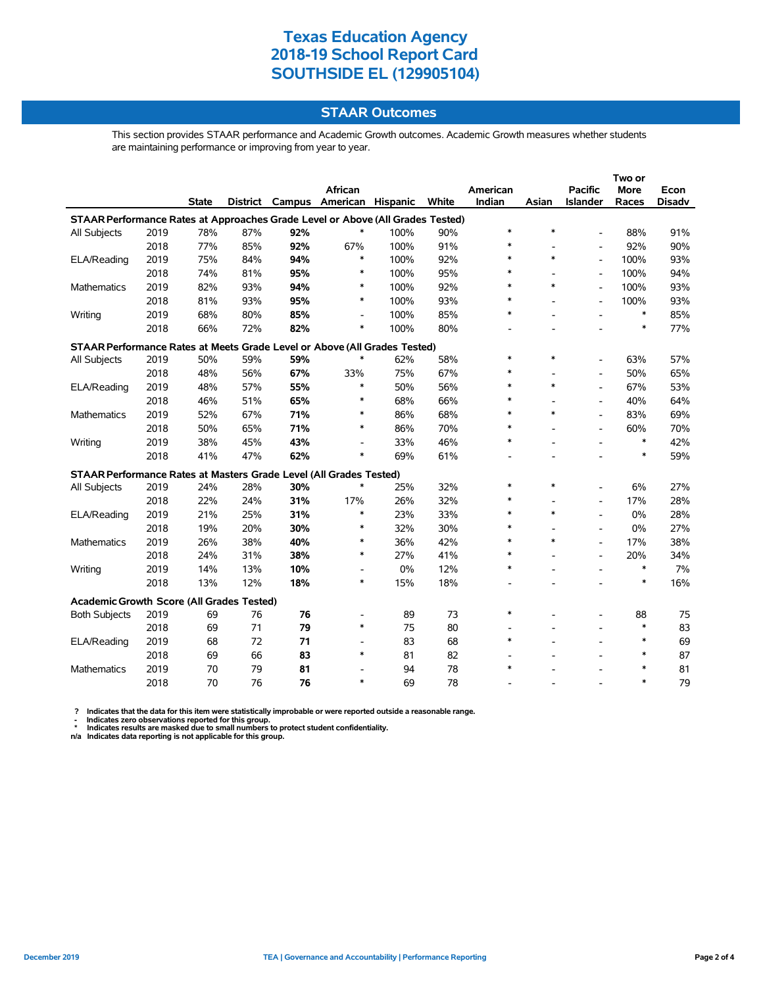### **STAAR Outcomes**

This section provides STAAR performance and Academic Growth outcomes. Academic Growth measures whether students are maintaining performance or improving from year to year.

|                                                                                |      |              |     |     | <b>African</b>                    |      |       | American |        | <b>Pacific</b>           | More   | Econ          |
|--------------------------------------------------------------------------------|------|--------------|-----|-----|-----------------------------------|------|-------|----------|--------|--------------------------|--------|---------------|
|                                                                                |      | <b>State</b> |     |     | District Campus American Hispanic |      | White | Indian   | Asian  | Islander                 | Races  | <b>Disadv</b> |
| STAAR Performance Rates at Approaches Grade Level or Above (All Grades Tested) |      |              |     |     |                                   |      |       |          |        |                          |        |               |
| All Subjects                                                                   | 2019 | 78%          | 87% | 92% | *                                 | 100% | 90%   | $\ast$   | $\ast$ | $\blacksquare$           | 88%    | 91%           |
|                                                                                | 2018 | 77%          | 85% | 92% | 67%                               | 100% | 91%   | $\ast$   |        | $\blacksquare$           | 92%    | 90%           |
| ELA/Reading                                                                    | 2019 | 75%          | 84% | 94% | ∗                                 | 100% | 92%   | $\ast$   | *      | $\overline{\phantom{a}}$ | 100%   | 93%           |
|                                                                                | 2018 | 74%          | 81% | 95% | ∗                                 | 100% | 95%   | $\ast$   |        | $\blacksquare$           | 100%   | 94%           |
| Mathematics                                                                    | 2019 | 82%          | 93% | 94% | ∗                                 | 100% | 92%   | $\ast$   | *      | $\blacksquare$           | 100%   | 93%           |
|                                                                                | 2018 | 81%          | 93% | 95% | $\ast$                            | 100% | 93%   | $\ast$   |        | $\overline{\phantom{a}}$ | 100%   | 93%           |
| Writing                                                                        | 2019 | 68%          | 80% | 85% | $\overline{\phantom{a}}$          | 100% | 85%   | $\ast$   |        |                          | $\ast$ | 85%           |
|                                                                                | 2018 | 66%          | 72% | 82% | *                                 | 100% | 80%   |          |        |                          | $\ast$ | 77%           |
| STAAR Performance Rates at Meets Grade Level or Above (All Grades Tested)      |      |              |     |     |                                   |      |       |          |        |                          |        |               |
| All Subjects                                                                   | 2019 | 50%          | 59% | 59% | $\ast$                            | 62%  | 58%   | $\ast$   | *      |                          | 63%    | 57%           |
|                                                                                | 2018 | 48%          | 56% | 67% | 33%                               | 75%  | 67%   | $\ast$   |        | $\overline{a}$           | 50%    | 65%           |
| ELA/Reading                                                                    | 2019 | 48%          | 57% | 55% | $\ast$                            | 50%  | 56%   | $\ast$   | $\ast$ | $\overline{a}$           | 67%    | 53%           |
|                                                                                | 2018 | 46%          | 51% | 65% | $\ast$                            | 68%  | 66%   | $\ast$   |        | $\overline{a}$           | 40%    | 64%           |
| Mathematics                                                                    | 2019 | 52%          | 67% | 71% | $\ast$                            | 86%  | 68%   | $\ast$   | $\ast$ |                          | 83%    | 69%           |
|                                                                                | 2018 | 50%          | 65% | 71% | $\ast$                            | 86%  | 70%   | $\ast$   |        |                          | 60%    | 70%           |
| Writing                                                                        | 2019 | 38%          | 45% | 43% | $\overline{a}$                    | 33%  | 46%   | $\ast$   |        |                          | $\ast$ | 42%           |
|                                                                                | 2018 | 41%          | 47% | 62% | $\ast$                            | 69%  | 61%   |          |        |                          | $\ast$ | 59%           |
| STAAR Performance Rates at Masters Grade Level (All Grades Tested)             |      |              |     |     |                                   |      |       |          |        |                          |        |               |
| All Subjects                                                                   | 2019 | 24%          | 28% | 30% | $\ast$                            | 25%  | 32%   | $\ast$   | *      |                          | 6%     | 27%           |
|                                                                                | 2018 | 22%          | 24% | 31% | 17%                               | 26%  | 32%   | *        |        | $\blacksquare$           | 17%    | 28%           |
| ELA/Reading                                                                    | 2019 | 21%          | 25% | 31% | $\ast$                            | 23%  | 33%   | $\ast$   | $\ast$ | $\overline{\phantom{a}}$ | 0%     | 28%           |
|                                                                                | 2018 | 19%          | 20% | 30% | $\ast$                            | 32%  | 30%   | $\ast$   |        | $\overline{\phantom{a}}$ | 0%     | 27%           |
| Mathematics                                                                    | 2019 | 26%          | 38% | 40% | $\ast$                            | 36%  | 42%   | $\ast$   | $\ast$ | $\overline{\phantom{a}}$ | 17%    | 38%           |
|                                                                                | 2018 | 24%          | 31% | 38% | $\ast$                            | 27%  | 41%   | $\ast$   |        | $\overline{\phantom{a}}$ | 20%    | 34%           |
| Writing                                                                        | 2019 | 14%          | 13% | 10% | $\overline{\phantom{a}}$          | 0%   | 12%   | $\ast$   |        |                          | $\ast$ | 7%            |
|                                                                                | 2018 | 13%          | 12% | 18% | $\ast$                            | 15%  | 18%   |          |        |                          | $\ast$ | 16%           |
| Academic Growth Score (All Grades Tested)                                      |      |              |     |     |                                   |      |       |          |        |                          |        |               |
| <b>Both Subjects</b>                                                           | 2019 | 69           | 76  | 76  | $\overline{\phantom{0}}$          | 89   | 73    | $\ast$   |        |                          | 88     | 75            |
|                                                                                | 2018 | 69           | 71  | 79  | $\ast$                            | 75   | 80    |          |        | $\overline{\phantom{a}}$ | $\ast$ | 83            |
| ELA/Reading                                                                    | 2019 | 68           | 72  | 71  | $\overline{\phantom{a}}$          | 83   | 68    | $\ast$   |        |                          | $\ast$ | 69            |
|                                                                                | 2018 | 69           | 66  | 83  | $\ast$                            | 81   | 82    |          |        |                          | $\ast$ | 87            |
| Mathematics                                                                    | 2019 | 70           | 79  | 81  | $\overline{\phantom{0}}$          | 94   | 78    | $\ast$   |        |                          | $\ast$ | 81            |
|                                                                                | 2018 | 70           | 76  | 76  | $\ast$                            | 69   | 78    |          |        |                          | $\ast$ | 79            |

? Indicates that the data for this item were statistically improbable or were reported outside a reasonable range.<br>- Indicates zero observations reported for this group.<br>\* Indicates results are masked due to small numbers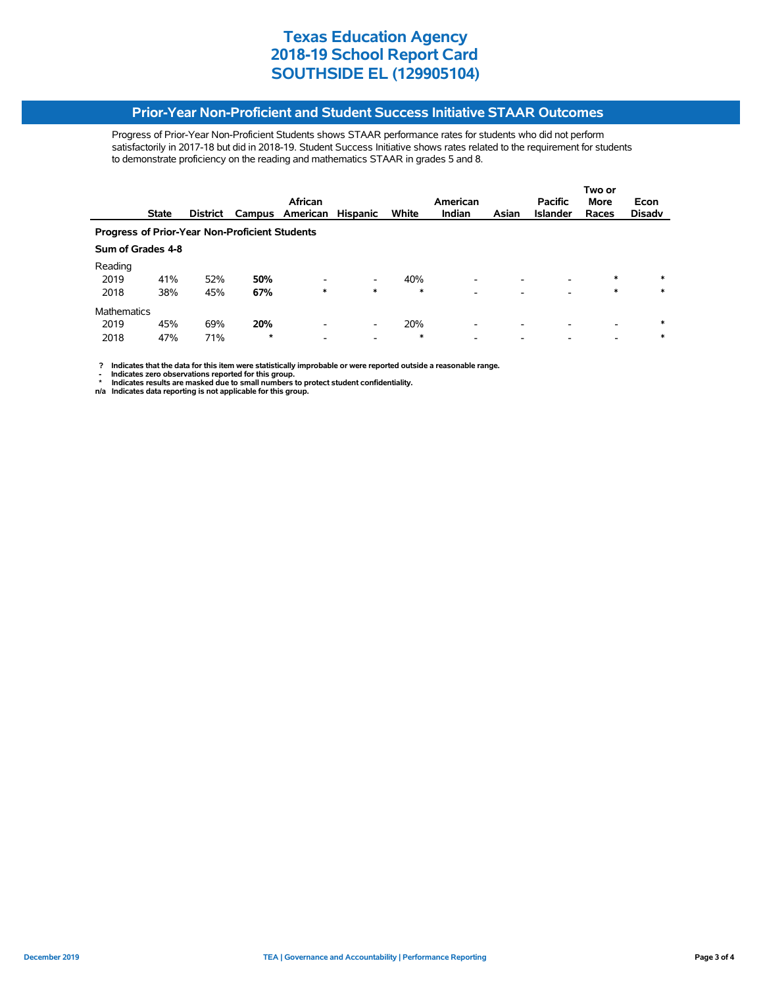#### **Prior-Year Non-Proficient and Student Success Initiative STAAR Outcomes**

Progress of Prior-Year Non-Proficient Students shows STAAR performance rates for students who did not perform satisfactorily in 2017-18 but did in 2018-19. Student Success Initiative shows rates related to the requirement for students to demonstrate proficiency on the reading and mathematics STAAR in grades 5 and 8.

|                                                       |              |                 |                          |                               |                 |                          |                    | Two or<br>Econ |                                   |                      |  |  |
|-------------------------------------------------------|--------------|-----------------|--------------------------|-------------------------------|-----------------|--------------------------|--------------------|----------------|-----------------------------------|----------------------|--|--|
|                                                       |              |                 |                          |                               |                 |                          |                    |                |                                   | <b>Disady</b>        |  |  |
|                                                       |              |                 |                          |                               |                 |                          |                    |                |                                   |                      |  |  |
| <b>Progress of Prior-Year Non-Proficient Students</b> |              |                 |                          |                               |                 |                          |                    |                |                                   |                      |  |  |
| Sum of Grades 4-8                                     |              |                 |                          |                               |                 |                          |                    |                |                                   |                      |  |  |
|                                                       |              |                 |                          |                               |                 |                          |                    |                |                                   |                      |  |  |
| 41%                                                   | 52%          | 50%             |                          | $\overline{\phantom{a}}$      | 40%             | ٠                        |                    |                | $\ast$                            | $\ast$               |  |  |
| 38%                                                   | 45%          | 67%             | $\ast$                   | *                             | $\ast$          | -                        |                    |                | $\ast$                            | $\ast$               |  |  |
| <b>Mathematics</b>                                    |              |                 |                          |                               |                 |                          |                    |                |                                   |                      |  |  |
| 45%                                                   | 69%          | 20%             | $\overline{\phantom{0}}$ | $\overline{\phantom{a}}$      | 20%             | $\overline{\phantom{a}}$ |                    |                |                                   | $\ast$               |  |  |
| 47%                                                   | 71%          | $\star$         |                          | $\overline{\phantom{a}}$      | $\ast$          |                          |                    |                |                                   | $\ast$               |  |  |
|                                                       | <b>State</b> | <b>District</b> |                          | African<br>American<br>Campus | <b>Hispanic</b> | White                    | American<br>Indian | Asian          | <b>Pacific</b><br><b>Islander</b> | <b>More</b><br>Races |  |  |

 **? Indicates that the data for this item were statistically improbable or were reported outside a reasonable range.**

- Indicates zero observations reported for this group.<br>\* Indicates results are masked due to small numbers to protect student confidentiality.<br>n/a Indicates data reporting is not applicable for this group.